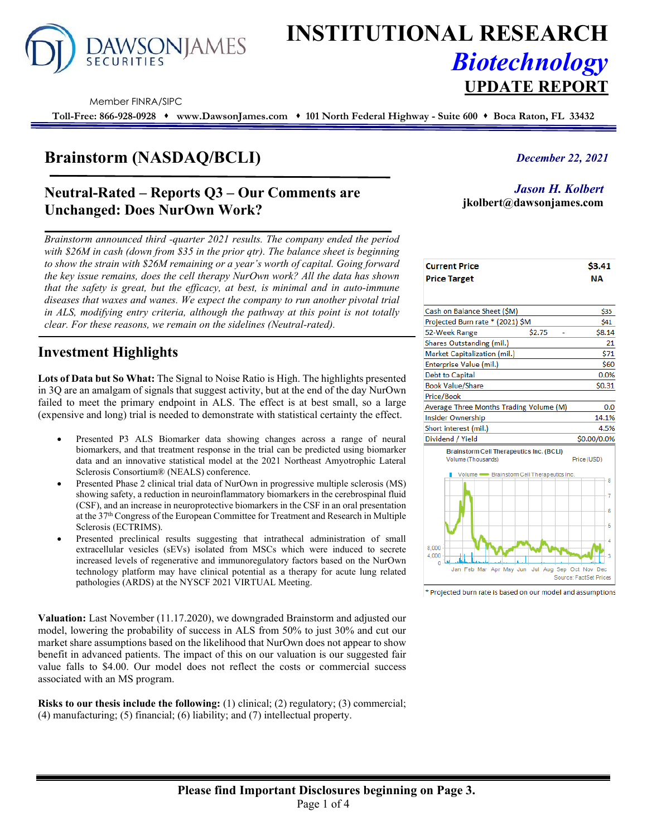

# **INSTITUTIONAL RESEARCH** *Biotechnology* **UPDATE REPORT**

Member FINRA/SIPC

**Toll-Free: 866-928-0928 www.DawsonJames.com 101 North Federal Highway - Suite 600 Boca Raton, FL 33432**

# **Brainstorm (NASDAQ/BCLI)**

### **Neutral-Rated – Reports Q3 – Our Comments are Unchanged: Does NurOwn Work?**

*Brainstorm announced third -quarter 2021 results. The company ended the period with \$26M in cash (down from \$35 in the prior qtr). The balance sheet is beginning to show the strain with \$26M remaining or a year's worth of capital. Going forward the key issue remains, does the cell therapy NurOwn work? All the data has shown that the safety is great, but the efficacy, at best, is minimal and in auto-immune diseases that waxes and wanes. We expect the company to run another pivotal trial in ALS, modifying entry criteria, although the pathway at this point is not totally clear. For these reasons, we remain on the sidelines (Neutral-rated).*

## **Investment Highlights**

**Lots of Data but So What:** The Signal to Noise Ratio is High. The highlights presented in 3Q are an amalgam of signals that suggest activity, but at the end of the day NurOwn failed to meet the primary endpoint in ALS. The effect is at best small, so a large (expensive and long) trial is needed to demonstrate with statistical certainty the effect.

- Presented P3 ALS Biomarker data showing changes across a range of neural biomarkers, and that treatment response in the trial can be predicted using biomarker data and an innovative statistical model at the 2021 Northeast Amyotrophic Lateral Sclerosis Consortium® (NEALS) conference.
- Presented Phase 2 clinical trial data of NurOwn in progressive multiple sclerosis (MS) showing safety, a reduction in neuroinflammatory biomarkers in the cerebrospinal fluid (CSF), and an increase in neuroprotective biomarkers in the CSF in an oral presentation at the 37th Congress of the European Committee for Treatment and Research in Multiple Sclerosis (ECTRIMS).
- Presented preclinical results suggesting that intrathecal administration of small extracellular vesicles (sEVs) isolated from MSCs which were induced to secrete increased levels of regenerative and immunoregulatory factors based on the NurOwn technology platform may have clinical potential as a therapy for acute lung related pathologies (ARDS) at the NYSCF 2021 VIRTUAL Meeting.

**Valuation:** Last November (11.17.2020), we downgraded Brainstorm and adjusted our model, lowering the probability of success in ALS from 50% to just 30% and cut our market share assumptions based on the likelihood that NurOwn does not appear to show benefit in advanced patients. The impact of this on our valuation is our suggested fair value falls to \$4.00. Our model does not reflect the costs or commercial success associated with an MS program.

**Risks to our thesis include the following:** (1) clinical; (2) regulatory; (3) commercial; (4) manufacturing; (5) financial; (6) liability; and (7) intellectual property.

#### *December 22, 2021*

*Jason H. Kolbert* **jkolbert@dawsonjames.com**

| <b>Current Price</b> | \$3.41 |
|----------------------|--------|
| <b>Price Target</b>  | NΑ     |

| Cash on Balance Sheet (SM)                                            | \$35        |
|-----------------------------------------------------------------------|-------------|
| Projected Burn rate * (2021) \$M                                      | \$41        |
| \$2.75<br>52-Week Range                                               | \$8.14      |
| Shares Outstanding (mil.)                                             | 21          |
| Market Capitalization (mil.)                                          | \$71        |
| Enterprise Value (mil.)                                               | \$60        |
| Debt to Capital                                                       | 0.0%        |
| Book Value/Share                                                      | \$0.31      |
| Price/Book                                                            |             |
| Average Three Months Trading Volume (M)                               | 0.0         |
| Insider Ownership                                                     | 14.1%       |
| Short interest (mil.)                                                 | 4.5%        |
| Dividend / Yield                                                      | \$0.00/0.0% |
| <b>Brainstorm Cell Therapeutics Inc. (BCLI)</b><br>Volume (Thousands) | Price (USD) |



\* Projected burn rate is based on our model and assumptions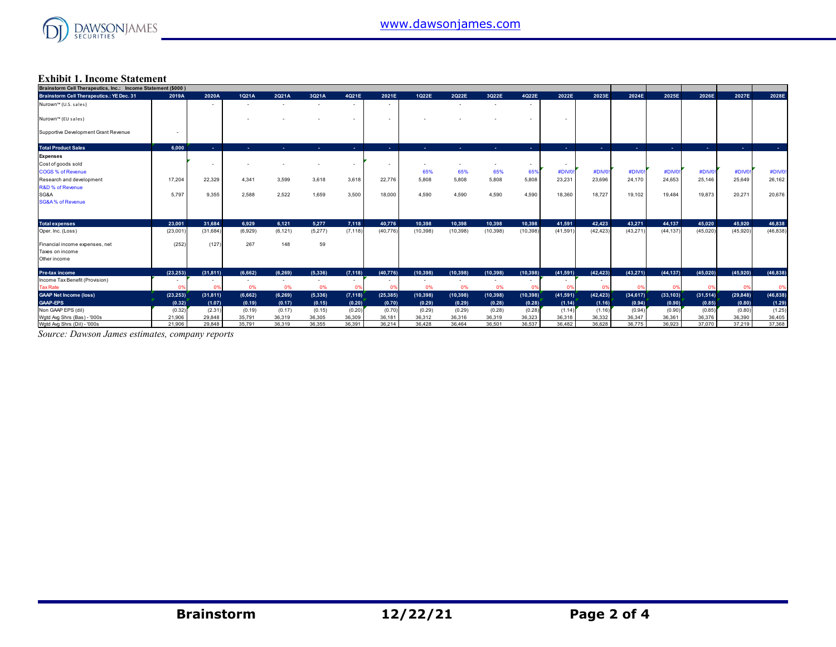

#### **Exhibit 1. Income Statement**

| Brainstorm Cell Therapeutics, Inc.: Income Statement (\$000) |           |           |         |                |                |                |           |                          |                |                          |                |                          |                |                |            |                |                  |                |
|--------------------------------------------------------------|-----------|-----------|---------|----------------|----------------|----------------|-----------|--------------------------|----------------|--------------------------|----------------|--------------------------|----------------|----------------|------------|----------------|------------------|----------------|
| <b>Brainstorm Cell Therapeutics.: YE Dec. 31</b>             | 2019A     | 2020A     | 1021A   | 2Q21A          | 3Q21A          | 4Q21E          | 2021E     | 1022E                    | 2Q22E          | 3Q22E                    | 4Q22E          | 2022E                    | 2023E          | 2024E          | 2025E      | 2026E          | 2027E            | 2028E          |
| Nurown™ (U.S. sales)                                         |           | $\sim$    |         |                |                | $\sim$         |           |                          |                |                          | $\sim$         |                          |                |                |            |                |                  |                |
| Nurown™ (EU sales)                                           |           |           |         |                |                |                |           |                          |                |                          |                | ۰                        |                |                |            |                |                  |                |
| Supportive Development Grant Revenue                         | $\sim$    |           |         |                |                |                |           |                          |                |                          |                |                          |                |                |            |                |                  |                |
| <b>Total Product Sales</b>                                   | 6.000     | . .       | a.      | . .            | <b>ALC</b>     | <b>Section</b> | ×.        | ×.                       | <b>Section</b> | . .                      | <b>Service</b> | <b>Section</b>           | <b>Section</b> | <b>Section</b> | <b>ALC</b> | <b>Section</b> | $\Delta \sim 10$ | <b>Section</b> |
| <b>Expenses</b>                                              |           |           |         |                |                |                |           |                          |                |                          |                |                          |                |                |            |                |                  |                |
| Cost of goods sold                                           |           | $\sim$    |         |                |                |                |           | $\overline{\phantom{a}}$ |                | ٠                        |                | $\overline{\phantom{a}}$ |                |                |            |                |                  |                |
| <b>COGS % of Revenue</b>                                     |           |           |         |                |                |                |           | 65%                      | 65%            | 65%                      | 65%            | #DIV/0                   | #DIV/0         | #DIV/0!        | #DIV/0!    | #DIV/0!        | #DIV/0!          | #DIV/0!        |
| Research and development                                     | 17.204    | 22,329    | 4.341   | 3,599          | 3.618          | 3.618          | 22,776    | 5.808                    | 5.808          | 5.808                    | 5.808          | 23,231                   | 23.696         | 24.170         | 24.653     | 25.146         | 25.649           | 26,162         |
| <b>R&amp;D % of Revenue</b>                                  |           |           |         |                |                |                |           |                          |                |                          |                |                          |                |                |            |                |                  |                |
| SG&A                                                         | 5.797     | 9,355     | 2,588   | 2,522          | 1,659          | 3,500          | 18,000    | 4,590                    | 4,590          | 4,590                    | 4,590          | 18,360                   | 18,727         | 19,102         | 19,484     | 19,873         | 20,271           | 20,676         |
| <b>SG&amp;A% of Revenue</b>                                  |           |           |         |                |                |                |           |                          |                |                          |                |                          |                |                |            |                |                  |                |
|                                                              |           |           |         |                |                |                |           |                          |                |                          |                |                          |                |                |            |                |                  |                |
| <b>Total expenses</b>                                        | 23.001    | 31.684    | 6.929   | 6.121          | 5.277          | 7.118          | 40.776    | 10.398                   | 10.398         | 10.398                   | 10.398         | 41.591                   | 42.423         | 43.271         | 44.137     | 45.020         | 45.920           | 46.838         |
| Oper. Inc. (Loss)                                            | (23,001)  | (31, 684) | (6,929) | (6, 121)       | (5,277)        | (7, 118)       | (40, 776) | (10, 398)                | (10, 398)      | (10, 398)                | (10, 398)      | (41, 591)                | (42, 423)      | (43, 271)      | (44, 137)  | (45,020)       | (45,920)         | (46, 838)      |
| Financial income expenses, net                               | (252)     | (127)     | 267     | 148            | 59             |                |           |                          |                |                          |                |                          |                |                |            |                |                  |                |
| Taxes on income                                              |           |           |         |                |                |                |           |                          |                |                          |                |                          |                |                |            |                |                  |                |
| Other income                                                 |           |           |         |                |                |                |           |                          |                |                          |                |                          |                |                |            |                |                  |                |
| <b>Pre-tax income</b>                                        | (23.253)  | (31.811)  | (6.662) | (6, 269)       | (5, 336)       | (7, 118)       | (40, 776) | (10, 398)                | (10, 398)      | (10.398)                 | (10, 398)      | (41, 591)                | (42, 423)      | (43.271)       | (44, 137)  | (45.020)       | (45.920)         | (46, 838)      |
| Income Tax Benefit (Provision)                               | $\sim$    | $\sim$    | $\sim$  | $\overline{a}$ | $\overline{a}$ | $\sim$         | $\sim$    | $\overline{\phantom{a}}$ | $\overline{a}$ | $\overline{\phantom{a}}$ | $\sim$         | $\sim$                   | $\sim$         |                |            |                |                  |                |
| <b>Tax Rate</b>                                              | 0%        | 0%        | 0%      | 0%             | 0%             | - 09           | 0%        | 0%                       | 0%             | 0%                       | - 0%           | - 0%                     | - 0%           | 0%             | 0%         | 0%             | 0%               | 0%             |
| <b>GAAP Net Income (loss)</b>                                | (23, 253) | (31, 811) | (6,662) | (6, 269)       | (5, 336)       | (7, 118)       | (25, 385) | (10, 398)                | (10, 398)      | (10, 398)                | (10, 398)      | (41, 591)                | (42, 423)      | (34, 617)      | (33, 103)  | (31,514)       | (29, 848)        | (46, 838)      |
| <b>GAAP-EPS</b>                                              | (0.32)    | (1.07)    | (0.19)  | (0.17)         | (0.15)         | (0.20)         | (0.70)    | (0.29)                   | (0.29)         | (0.28)                   | (0.28)         | (1.14)                   | (1.16)         | (0.94)         | (0.90)     | (0.85)         | (0.80)           | (1.29)         |
| Non GAAP EPS (dil)                                           | (0.32)    | (2.31)    | (0.19)  | (0.17)         | (0.15)         | (0.20)         | (0.70)    | (0.29)                   | (0.29)         | (0.28)                   | (0.28)         | (1.14)                   | (1.16)         | (0.94)         | (0.90)     | (0.85)         | (0.80)           | (1.25)         |
| Wgtd Avg Shrs (Bas) - '000s                                  | 21,906    | 29,848    | 35,791  | 36,319         | 36,305         | 36,309         | 36,181    | 36,312                   | 36,316         | 36,319                   | 36,323         | 36,318                   | 36,332         | 36,347         | 36,361     | 36,376         | 36,390           | 36,405         |
| Wgtd Avg Shrs (Dil) - '000s                                  | 21.906    | 29.848    | 35.791  | 36.319         | 36.355         | 36.391         | 36.214    | 36.428                   | 36.464         | 36,501                   | 36.537         | 36.482                   | 36.628         | 36,775         | 36.923     | 37,070         | 37.219           | 37,368         |

*Source: Dawson James estimates, company reports*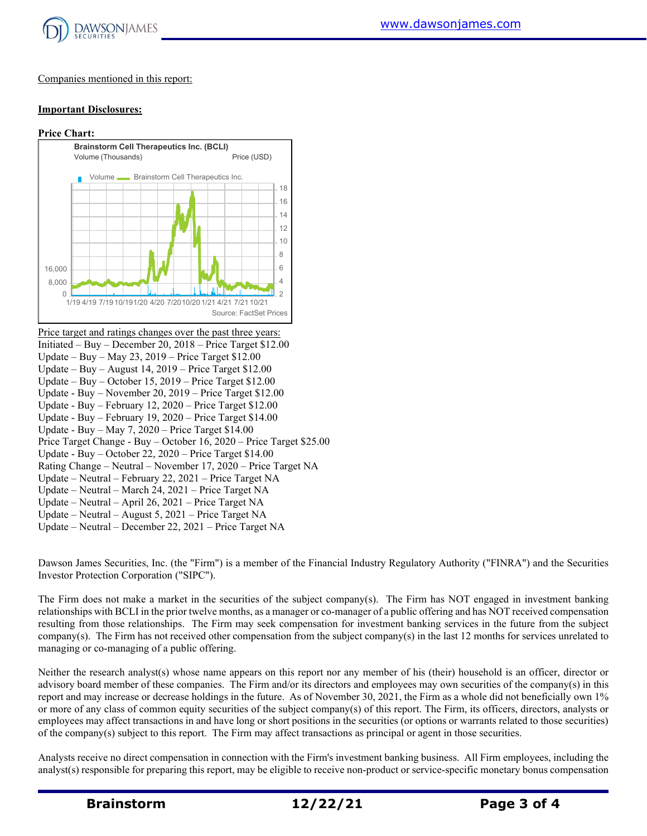

#### Companies mentioned in this report:

#### **Important Disclosures:**

#### **Price Chart:**



Price target and ratings changes over the past three years: Initiated – Buy – December 20, 2018 – Price Target \$12.00 Update – Buy – May 23, 2019 – Price Target \$12.00 Update – Buy – August 14, 2019 – Price Target \$12.00 Update – Buy – October 15, 2019 – Price Target \$12.00 Update - Buy – November 20, 2019 – Price Target \$12.00 Update - Buy – February 12, 2020 – Price Target \$12.00 Update - Buy – February 19, 2020 – Price Target \$14.00 Update - Buy – May 7, 2020 – Price Target \$14.00 Price Target Change - Buy – October 16, 2020 – Price Target \$25.00 Update - Buy – October 22, 2020 – Price Target \$14.00 Rating Change – Neutral – November 17, 2020 – Price Target NA Update – Neutral – February 22, 2021 – Price Target NA Update – Neutral – March 24, 2021 – Price Target NA Update – Neutral – April 26, 2021 – Price Target NA Update – Neutral – August 5, 2021 – Price Target NA Update – Neutral – December 22, 2021 – Price Target NA

Dawson James Securities, Inc. (the "Firm") is a member of the Financial Industry Regulatory Authority ("FINRA") and the Securities Investor Protection Corporation ("SIPC").

The Firm does not make a market in the securities of the subject company(s). The Firm has NOT engaged in investment banking relationships with BCLI in the prior twelve months, as a manager or co-manager of a public offering and has NOT received compensation resulting from those relationships. The Firm may seek compensation for investment banking services in the future from the subject company(s). The Firm has not received other compensation from the subject company(s) in the last 12 months for services unrelated to managing or co-managing of a public offering.

Neither the research analyst(s) whose name appears on this report nor any member of his (their) household is an officer, director or advisory board member of these companies. The Firm and/or its directors and employees may own securities of the company(s) in this report and may increase or decrease holdings in the future. As of November 30, 2021, the Firm as a whole did not beneficially own 1% or more of any class of common equity securities of the subject company(s) of this report. The Firm, its officers, directors, analysts or employees may affect transactions in and have long or short positions in the securities (or options or warrants related to those securities) of the company(s) subject to this report. The Firm may affect transactions as principal or agent in those securities.

Analysts receive no direct compensation in connection with the Firm's investment banking business. All Firm employees, including the analyst(s) responsible for preparing this report, may be eligible to receive non-product or service-specific monetary bonus compensation